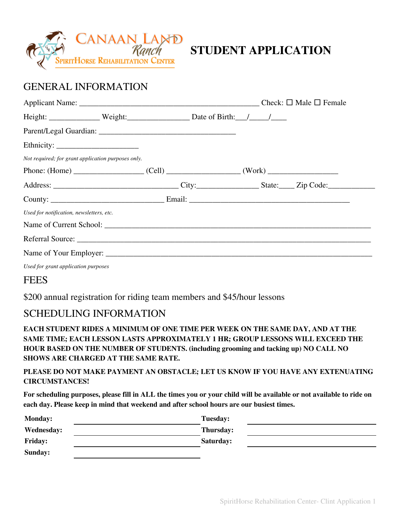

# **STUDENT APPLICATION**

## GENERAL INFORMATION

|                                          |                                                    | Height: Weight: Weight: Date of Birth: / /          |  |
|------------------------------------------|----------------------------------------------------|-----------------------------------------------------|--|
|                                          |                                                    |                                                     |  |
|                                          |                                                    |                                                     |  |
|                                          | Not required; for grant application purposes only. |                                                     |  |
|                                          |                                                    | Phone: $(Home)$ $(Cell)$ $(Cell)$ $(Cell)$ $(Work)$ |  |
|                                          |                                                    |                                                     |  |
|                                          |                                                    |                                                     |  |
| Used for notification, newsletters, etc. |                                                    |                                                     |  |
|                                          |                                                    |                                                     |  |
|                                          |                                                    |                                                     |  |
|                                          |                                                    |                                                     |  |
| Used for grant application purposes      |                                                    |                                                     |  |

#### **FEES**

\$200 annual registration for riding team members and \$45/hour lessons

### SCHEDULING INFORMATION

**EACH STUDENT RIDES A MINIMUM OF ONE TIME PER WEEK ON THE SAME DAY, AND AT THE SAME TIME; EACH LESSON LASTS APPROXIMATELY 1 HR; GROUP LESSONS WILL EXCEED THE HOUR BASED ON THE NUMBER OF STUDENTS. (including grooming and tacking up) NO CALL NO SHOWS ARE CHARGED AT THE SAME RATE.**

#### **PLEASE DO NOT MAKE PAYMENT AN OBSTACLE; LET US KNOW IF YOU HAVE ANY EXTENUATING CIRCUMSTANCES!**

For scheduling purposes, please fill in ALL the times you or your child will be available or not available to ride on **each day. Please keep in mind that weekend and after school hours are our busiest times.**

| <b>Monday:</b>    | <b>Tuesday:</b>  |
|-------------------|------------------|
| <b>Wednesday:</b> | <b>Thursday:</b> |
| <b>Friday:</b>    | Saturday:        |
| Sunday:           |                  |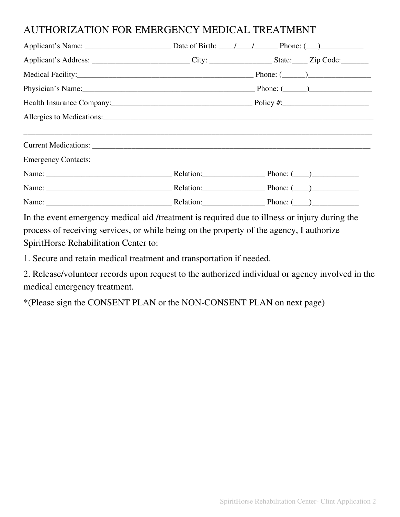### AUTHORIZATION FOR EMERGENCY MEDICAL TREATMENT

| Applicant's Address: ____________________________City: ___________________State: ______Zip Code: _________ |
|------------------------------------------------------------------------------------------------------------|
|                                                                                                            |
| Physician's Name: $\qquad \qquad$ Phone: $\qquad \qquad$ Phone: $\qquad \qquad$                            |
|                                                                                                            |
| Allergies to Medications:                                                                                  |
|                                                                                                            |
|                                                                                                            |
|                                                                                                            |
|                                                                                                            |
|                                                                                                            |
|                                                                                                            |
|                                                                                                            |

In the event emergency medical aid /treatment is required due to illness or injury during the process of receiving services, or while being on the property of the agency, I authorize SpiritHorse Rehabilitation Center to:

1. Secure and retain medical treatment and transportation if needed.

2. Release/volunteer records upon request to the authorized individual or agency involved in the medical emergency treatment.

\*(Please sign the CONSENT PLAN or the NON-CONSENT PLAN on next page)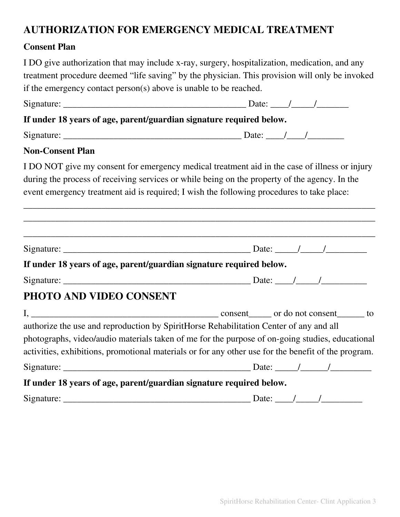## **AUTHORIZATION FOR EMERGENCY MEDICAL TREATMENT**

#### **Consent Plan**

I DO give authorization that may include x-ray, surgery, hospitalization, medication, and any treatment procedure deemed "life saving" by the physician. This provision will only be invoked if the emergency contact person(s) above is unable to be reached.

| If under 18 years of age, parent/guardian signature required below.                                                                                                                                                                                                                              |  |
|--------------------------------------------------------------------------------------------------------------------------------------------------------------------------------------------------------------------------------------------------------------------------------------------------|--|
|                                                                                                                                                                                                                                                                                                  |  |
| <b>Non-Consent Plan</b>                                                                                                                                                                                                                                                                          |  |
| I DO NOT give my consent for emergency medical treatment aid in the case of illness or injury<br>during the process of receiving services or while being on the property of the agency. In the<br>event emergency treatment aid is required; I wish the following procedures to take place:      |  |
|                                                                                                                                                                                                                                                                                                  |  |
| If under 18 years of age, parent/guardian signature required below.                                                                                                                                                                                                                              |  |
| PHOTO AND VIDEO CONSENT                                                                                                                                                                                                                                                                          |  |
| authorize the use and reproduction by SpiritHorse Rehabilitation Center of any and all<br>photographs, video/audio materials taken of me for the purpose of on-going studies, educational<br>activities, exhibitions, promotional materials or for any other use for the benefit of the program. |  |
| If under 18 years of age, parent/guardian signature required below.                                                                                                                                                                                                                              |  |
|                                                                                                                                                                                                                                                                                                  |  |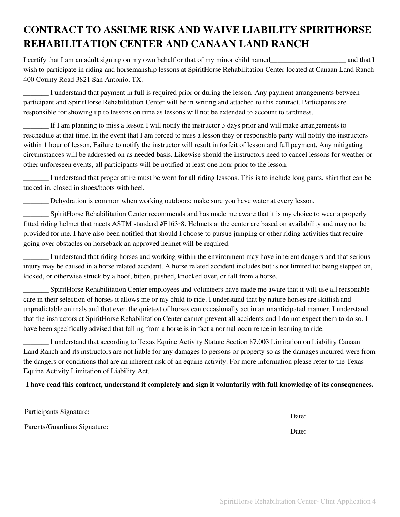# **CONTRACT TO ASSUME RISK AND WAIVE LIABILITY SPIRITHORSE REHABILITATION CENTER AND CANAAN LAND RANCH**

I certify that I am an adult signing on my own behalf or that of my minor child named\_\_\_\_\_\_\_\_\_\_\_\_\_\_\_\_\_\_\_\_\_ and that I wish to participate in riding and horsemanship lessons at SpiritHorse Rehabilitation Center located at Canaan Land Ranch 400 County Road 3821 San Antonio, TX.

\_\_\_\_\_\_\_ I understand that payment in full is required prior or during the lesson. Any payment arrangements between participant and SpiritHorse Rehabilitation Center will be in writing and attached to this contract. Participants are responsible for showing up to lessons on time as lessons will not be extended to account to tardiness.

If I am planning to miss a lesson I will notify the instructor 3 days prior and will make arrangements to reschedule at that time. In the event that I am forced to miss a lesson they or responsible party will notify the instructors within 1 hour of lesson. Failure to notify the instructor will result in forfeit of lesson and full payment. Any mitigating circumstances will be addressed on as needed basis. Likewise should the instructors need to cancel lessons for weather or other unforeseen events, all participants will be notified at least one hour prior to the lesson.

\_\_\_\_\_\_\_ I understand that proper attire must be worn for all riding lessons. This is to include long pants, shirt that can be tucked in, closed in shoes/boots with heel.

\_\_\_\_\_\_\_ Dehydration is common when working outdoors; make sure you have water at every lesson.

\_\_\_\_\_\_\_ SpiritHorse Rehabilitation Center recommends and has made me aware that it is my choice to wear a properly fitted riding helmet that meets ASTM standard #F163-8. Helmets at the center are based on availability and may not be provided for me. I have also been notified that should I choose to pursue jumping or other riding activities that require going over obstacles on horseback an approved helmet will be required.

\_\_\_\_\_\_\_ I understand that riding horses and working within the environment may have inherent dangers and that serious injury may be caused in a horse related accident. A horse related accident includes but is not limited to: being stepped on, kicked, or otherwise struck by a hoof, bitten, pushed, knocked over, or fall from a horse.

\_\_\_\_\_\_\_ SpiritHorse Rehabilitation Center employees and volunteers have made me aware that it will use all reasonable care in their selection of horses it allows me or my child to ride. I understand that by nature horses are skittish and unpredictable animals and that even the quietest of horses can occasionally act in an unanticipated manner. I understand that the instructors at SpiritHorse Rehabilitation Center cannot prevent all accidents and I do not expect them to do so. I have been specifically advised that falling from a horse is in fact a normal occurrence in learning to ride.

\_\_\_\_\_\_\_ I understand that according to Texas Equine Activity Statute Section 87.003 Limitation on Liability Canaan Land Ranch and its instructors are not liable for any damages to persons or property so as the damages incurred were from the dangers or conditions that are an inherent risk of an equine activity. For more information please refer to the Texas Equine Activity Limitation of Liability Act.

#### I have read this contract, understand it completely and sign it voluntarily with full knowledge of its consequences.

| Participants Signature:      | Date: |  |
|------------------------------|-------|--|
| Parents/Guardians Signature: | Date: |  |
|                              |       |  |